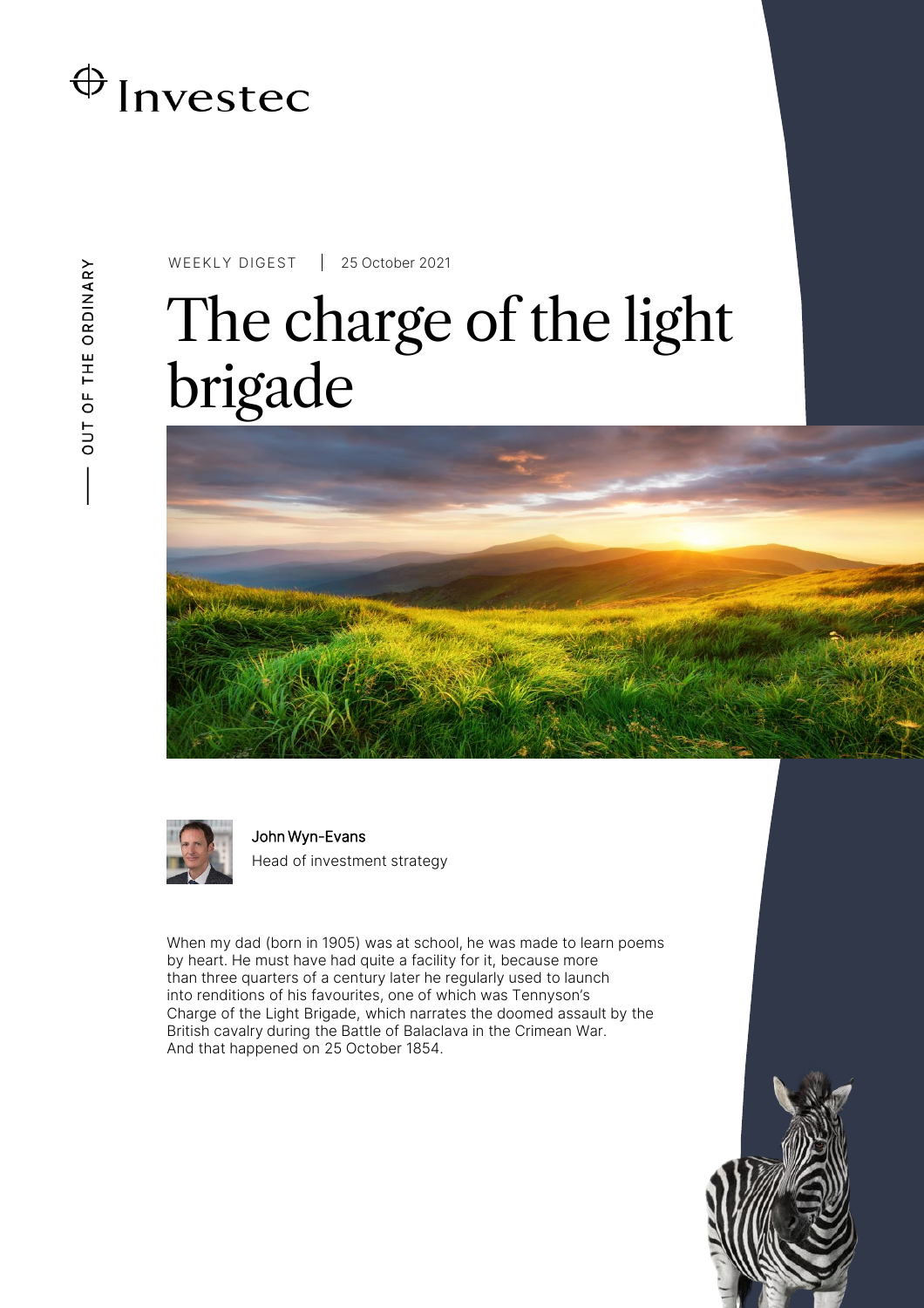

WEEKLY DIGEST 25 October 2021

# The charge of the light brigade



John Wyn-Evans Head of investment strategy

When my dad (born in 1905) was at school, he was made to learn poems by heart. He must have had quite a facility for it, because more than three quarters of a century later he regularly used to launch into renditions of his favourites, one of which was Tennyson's Charge of the Light Brigade, which narrates the doomed assault by the British cavalry during the Battle of Balaclava in the Crimean War. And that happened on 25 October 1854.

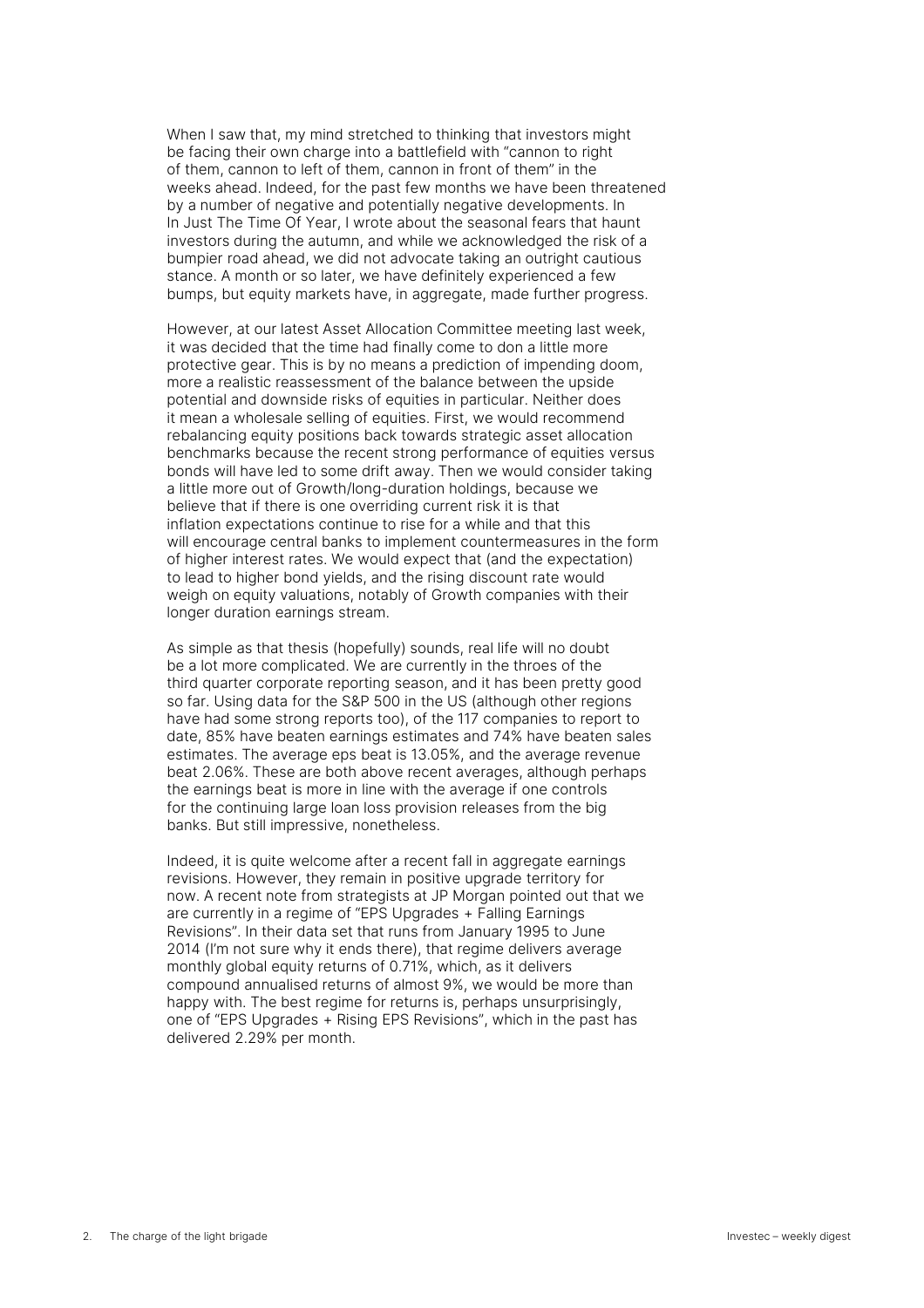When I saw that, my mind stretched to thinking that investors might be facing their own charge into a battlefield with "cannon to right of them, cannon to left of them, cannon in front of them" in the weeks ahead. Indeed, for the past few months we have been threatened by a number of negative and potentially negative developments. In In [Just The Time Of Year](https://www.investec.com/en_gb/focus/economy/just-the-time-of-year.html), I wrote about the seasonal fears that haunt investors during the autumn, and while we acknowledged the risk of a bumpier road ahead, we did not advocate taking an outright cautious stance. A month or so later, we have definitely experienced a few bumps, but equity markets have, in aggregate, made further progress.

However, at our latest Asset Allocation Committee meeting last week, it was decided that the time had finally come to don a little more protective gear. This is by no means a prediction of impending doom, more a realistic reassessment of the balance between the upside potential and downside risks of equities in particular. Neither does it mean a wholesale selling of equities. First, we would recommend rebalancing equity positions back towards strategic asset allocation benchmarks because the recent strong performance of equities versus bonds will have led to some drift away. Then we would consider taking a little more out of Growth/long-duration holdings, because we believe that if there is one overriding current risk it is that inflation expectations continue to rise for a while and that this will encourage central banks to implement countermeasures in the form of higher interest rates. We would expect that (and the expectation) to lead to higher bond yields, and the rising discount rate would weigh on equity valuations, notably of Growth companies with their longer duration earnings stream.

As simple as that thesis (hopefully) sounds, real life will no doubt be a lot more complicated. We are currently in the throes of the third quarter corporate reporting season, and it has been pretty good so far. Using data for the S&P 500 in the US (although other regions have had some strong reports too), of the 117 companies to report to date, 85% have beaten earnings estimates and 74% have beaten sales estimates. The average eps beat is 13.05%, and the average revenue beat 2.06%. These are both above recent averages, although perhaps the earnings beat is more in line with the average if one controls for the continuing large loan loss provision releases from the big banks. But still impressive, nonetheless.

Indeed, it is quite welcome after a recent fall in aggregate earnings revisions. However, they remain in positive upgrade territory for now. A recent note from strategists at JP Morgan pointed out that we are currently in a regime of "EPS Upgrades + Falling Earnings Revisions". In their data set that runs from January 1995 to June 2014 (I'm not sure why it ends there), that regime delivers average monthly global equity returns of 0.71%, which, as it delivers compound annualised returns of almost 9%, we would be more than happy with. The best regime for returns is, perhaps unsurprisingly, one of "EPS Upgrades + Rising EPS Revisions", which in the past has delivered 2.29% per month.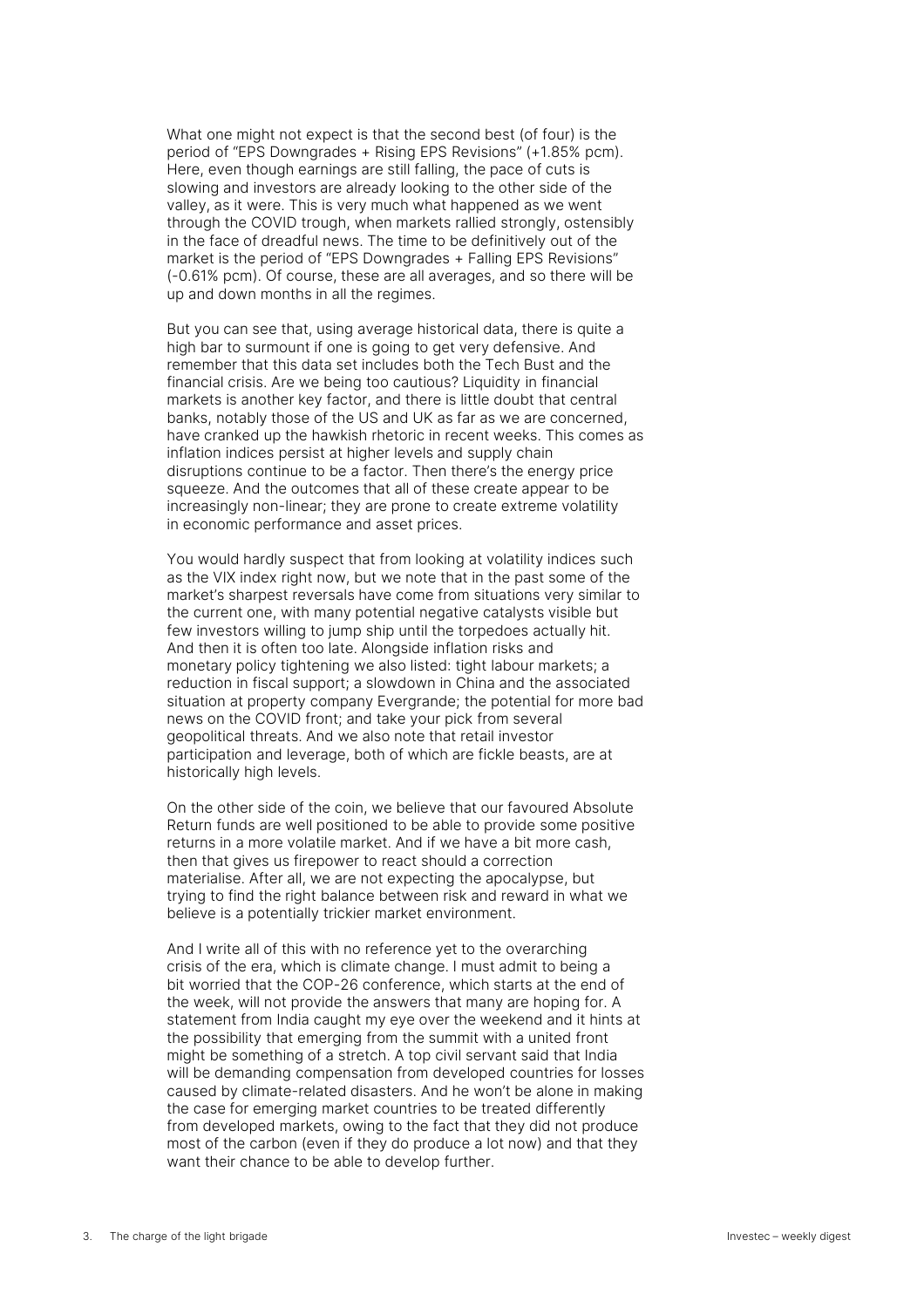What one might not expect is that the second best (of four) is the period of "EPS Downgrades + Rising EPS Revisions" (+1.85% pcm). Here, even though earnings are still falling, the pace of cuts is slowing and investors are already looking to the other side of the valley, as it were. This is very much what happened as we went through the COVID trough, when markets rallied strongly, ostensibly in the face of dreadful news. The time to be definitively out of the market is the period of "EPS Downgrades + Falling EPS Revisions" (-0.61% pcm). Of course, these are all averages, and so there will be up and down months in all the regimes.

But you can see that, using average historical data, there is quite a high bar to surmount if one is going to get very defensive. And remember that this data set includes both the Tech Bust and the financial crisis. Are we being too cautious? Liquidity in financial markets is another key factor, and there is little doubt that central banks, notably those of the US and UK as far as we are concerned, have cranked up the hawkish rhetoric in recent weeks. This comes as inflation indices persist at higher levels and supply chain disruptions continue to be a factor. Then there's the energy price squeeze. And the outcomes that all of these create appear to be increasingly non-linear; they are prone to create extreme volatility in economic performance and asset prices.

You would hardly suspect that from looking at volatility indices such as the VIX index right now, but we note that in the past some of the market's sharpest reversals have come from situations very similar to the current one, with many potential negative catalysts visible but few investors willing to jump ship until the torpedoes actually hit. And then it is often too late. Alongside inflation risks and monetary policy tightening we also listed: tight labour markets; a reduction in fiscal support; a slowdown in China and the associated situation at property company Evergrande; the potential for more bad news on the COVID front; and take your pick from several geopolitical threats. And we also note that retail investor participation and leverage, both of which are fickle beasts, are at historically high levels.

On the other side of the coin, we believe that our favoured Absolute Return funds are well positioned to be able to provide some positive returns in a more volatile market. And if we have a bit more cash, then that gives us firepower to react should a correction materialise. After all, we are not expecting the apocalypse, but trying to find the right balance between risk and reward in what we believe is a potentially trickier market environment.

And I write all of this with no reference yet to the overarching crisis of the era, which is climate change. I must admit to being a bit worried that the COP-26 conference, which starts at the end of the week, will not provide the answers that many are hoping for. A statement from India caught my eye over the weekend and it hints at the possibility that emerging from the summit with a united front might be something of a stretch. A top civil servant said that India will be demanding compensation from developed countries for losses caused by climate-related disasters. And he won't be alone in making the case for emerging market countries to be treated differently from developed markets, owing to the fact that they did not produce most of the carbon (even if they do produce a lot now) and that they want their chance to be able to develop further.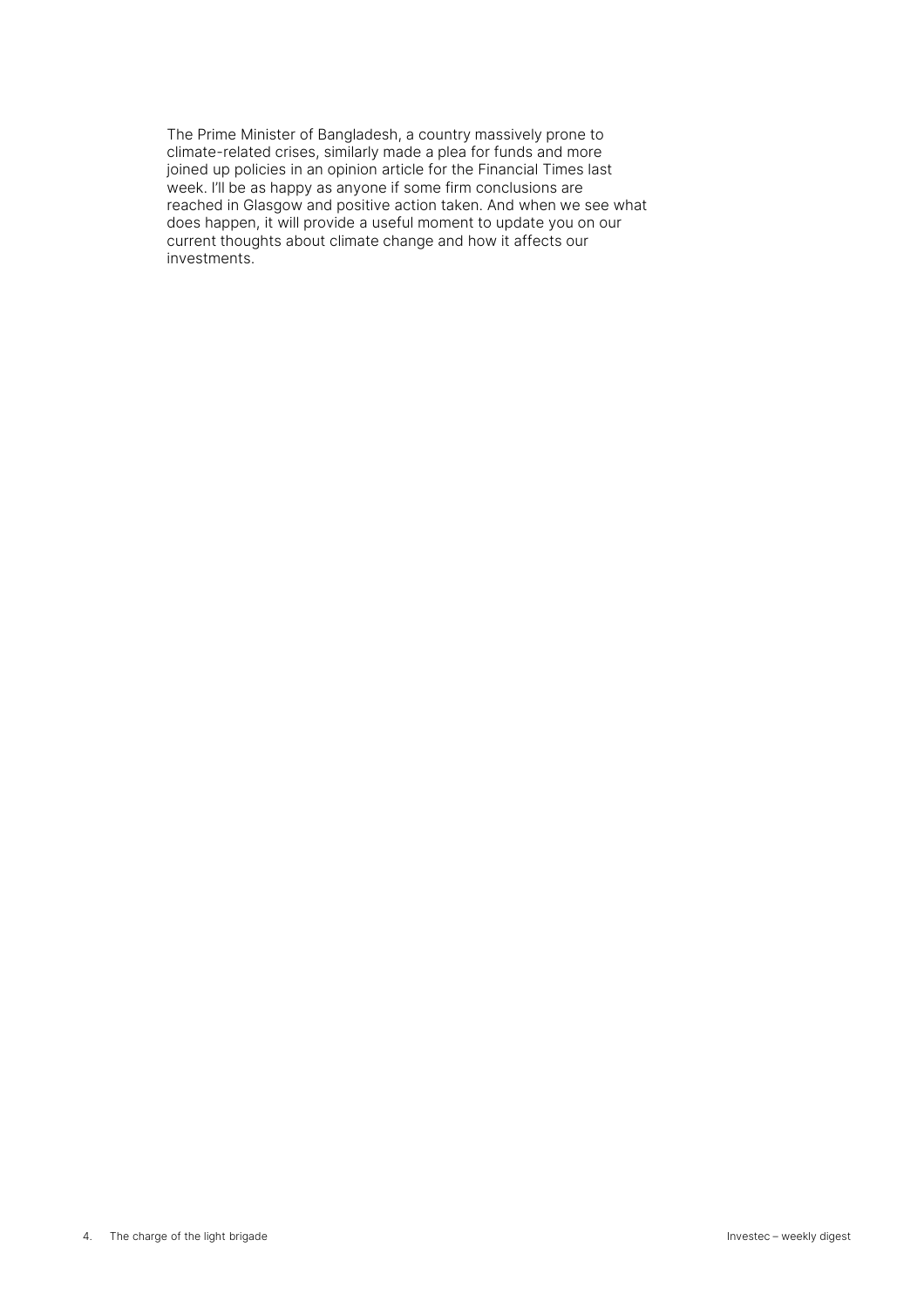The Prime Minister of Bangladesh, a country massively prone to climate-related crises, similarly made a plea for funds and more joined up policies in an opinion article for the Financial Times last week. I'll be as happy as anyone if some firm conclusions are reached in Glasgow and positive action taken. And when we see what does happen, it will provide a useful moment to update you on our current thoughts about climate change and how it affects our investments.